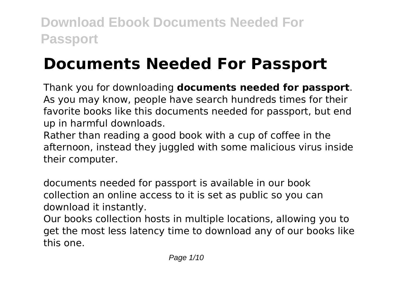# **Documents Needed For Passport**

Thank you for downloading **documents needed for passport**. As you may know, people have search hundreds times for their favorite books like this documents needed for passport, but end up in harmful downloads.

Rather than reading a good book with a cup of coffee in the afternoon, instead they juggled with some malicious virus inside their computer.

documents needed for passport is available in our book collection an online access to it is set as public so you can download it instantly.

Our books collection hosts in multiple locations, allowing you to get the most less latency time to download any of our books like this one.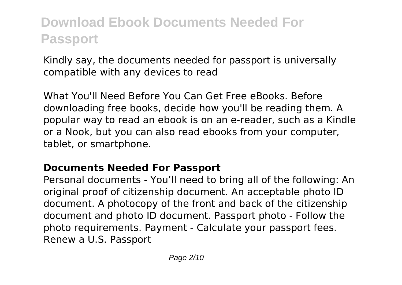Kindly say, the documents needed for passport is universally compatible with any devices to read

What You'll Need Before You Can Get Free eBooks. Before downloading free books, decide how you'll be reading them. A popular way to read an ebook is on an e-reader, such as a Kindle or a Nook, but you can also read ebooks from your computer, tablet, or smartphone.

#### **Documents Needed For Passport**

Personal documents - You'll need to bring all of the following: An original proof of citizenship document. An acceptable photo ID document. A photocopy of the front and back of the citizenship document and photo ID document. Passport photo - Follow the photo requirements. Payment - Calculate your passport fees. Renew a U.S. Passport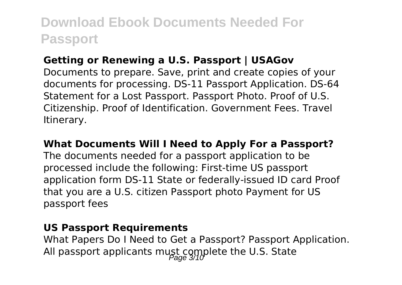#### **Getting or Renewing a U.S. Passport | USAGov**

Documents to prepare. Save, print and create copies of your documents for processing. DS-11 Passport Application. DS-64 Statement for a Lost Passport. Passport Photo. Proof of U.S. Citizenship. Proof of Identification. Government Fees. Travel Itinerary.

#### **What Documents Will I Need to Apply For a Passport?**

The documents needed for a passport application to be processed include the following: First-time US passport application form DS-11 State or federally-issued ID card Proof that you are a U.S. citizen Passport photo Payment for US passport fees

#### **US Passport Requirements**

What Papers Do I Need to Get a Passport? Passport Application. All passport applicants must complete the U.S. State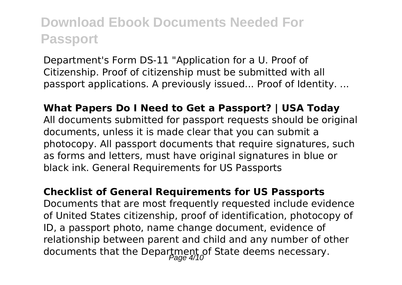Department's Form DS-11 "Application for a U. Proof of Citizenship. Proof of citizenship must be submitted with all passport applications. A previously issued... Proof of Identity. ...

#### **What Papers Do I Need to Get a Passport? | USA Today** All documents submitted for passport requests should be original documents, unless it is made clear that you can submit a photocopy. All passport documents that require signatures, such as forms and letters, must have original signatures in blue or black ink. General Requirements for US Passports

#### **Checklist of General Requirements for US Passports**

Documents that are most frequently requested include evidence of United States citizenship, proof of identification, photocopy of ID, a passport photo, name change document, evidence of relationship between parent and child and any number of other documents that the Department of State deems necessary.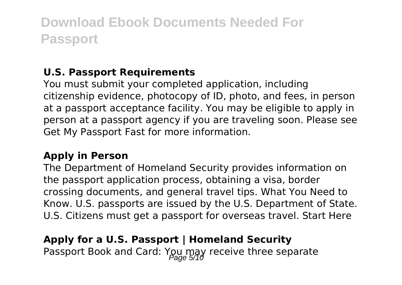### **U.S. Passport Requirements**

You must submit your completed application, including citizenship evidence, photocopy of ID, photo, and fees, in person at a passport acceptance facility. You may be eligible to apply in person at a passport agency if you are traveling soon. Please see Get My Passport Fast for more information.

#### **Apply in Person**

The Department of Homeland Security provides information on the passport application process, obtaining a visa, border crossing documents, and general travel tips. What You Need to Know. U.S. passports are issued by the U.S. Department of State. U.S. Citizens must get a passport for overseas travel. Start Here

### **Apply for a U.S. Passport | Homeland Security** Passport Book and Card: You may receive three separate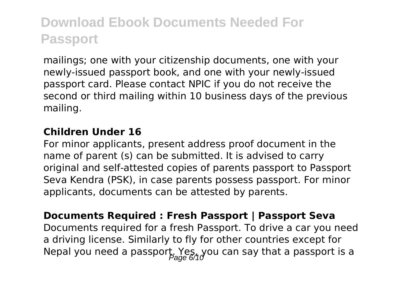mailings; one with your citizenship documents, one with your newly-issued passport book, and one with your newly-issued passport card. Please contact NPIC if you do not receive the second or third mailing within 10 business days of the previous mailing.

#### **Children Under 16**

For minor applicants, present address proof document in the name of parent (s) can be submitted. It is advised to carry original and self-attested copies of parents passport to Passport Seva Kendra (PSK), in case parents possess passport. For minor applicants, documents can be attested by parents.

#### **Documents Required : Fresh Passport | Passport Seva**

Documents required for a fresh Passport. To drive a car you need a driving license. Similarly to fly for other countries except for Nepal you need a passport,  $Y_{\text{max}}$  you can say that a passport is a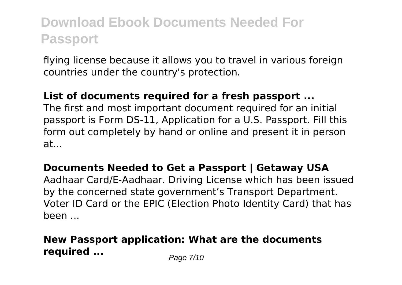flying license because it allows you to travel in various foreign countries under the country's protection.

#### **List of documents required for a fresh passport ...**

The first and most important document required for an initial passport is Form DS-11, Application for a U.S. Passport. Fill this form out completely by hand or online and present it in person at.

#### **Documents Needed to Get a Passport | Getaway USA**

Aadhaar Card/E-Aadhaar. Driving License which has been issued by the concerned state government's Transport Department. Voter ID Card or the EPIC (Election Photo Identity Card) that has been ...

### **New Passport application: What are the documents required** ... Page 7/10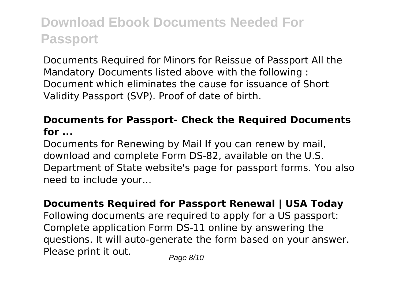Documents Required for Minors for Reissue of Passport All the Mandatory Documents listed above with the following : Document which eliminates the cause for issuance of Short Validity Passport (SVP). Proof of date of birth.

#### **Documents for Passport- Check the Required Documents for ...**

Documents for Renewing by Mail If you can renew by mail, download and complete Form DS-82, available on the U.S. Department of State website's page for passport forms. You also need to include your...

#### **Documents Required for Passport Renewal | USA Today**

Following documents are required to apply for a US passport: Complete application Form DS-11 online by answering the questions. It will auto-generate the form based on your answer. Please print it out.  $P_{\text{face } 8/10}$